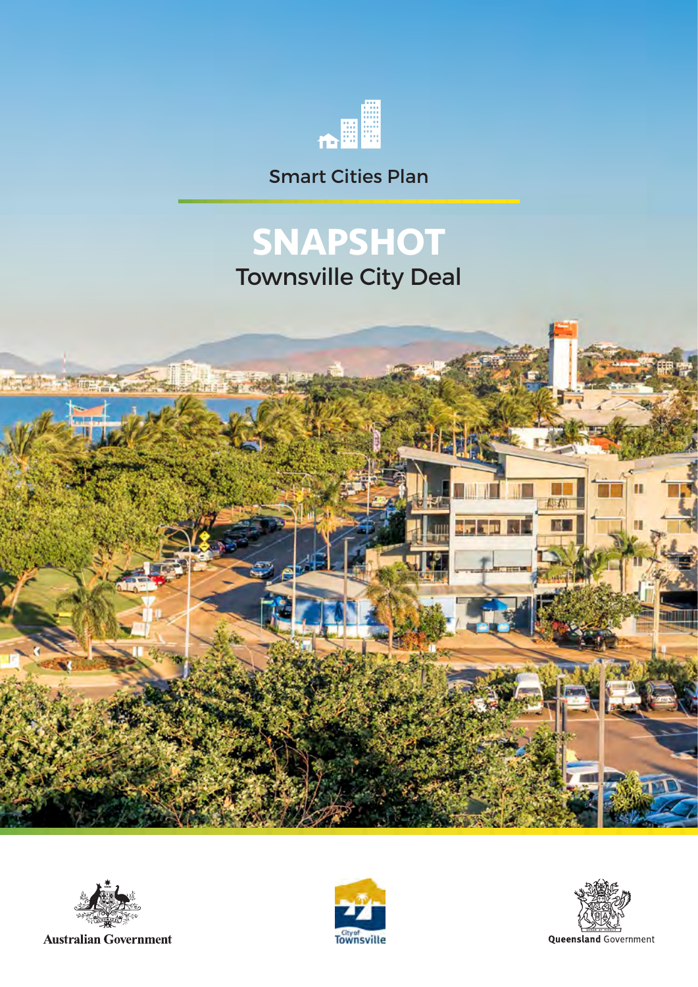

Smart Cities Plan

# **SNAPSHOT**

Townsville City Deal





**Australian Government** 



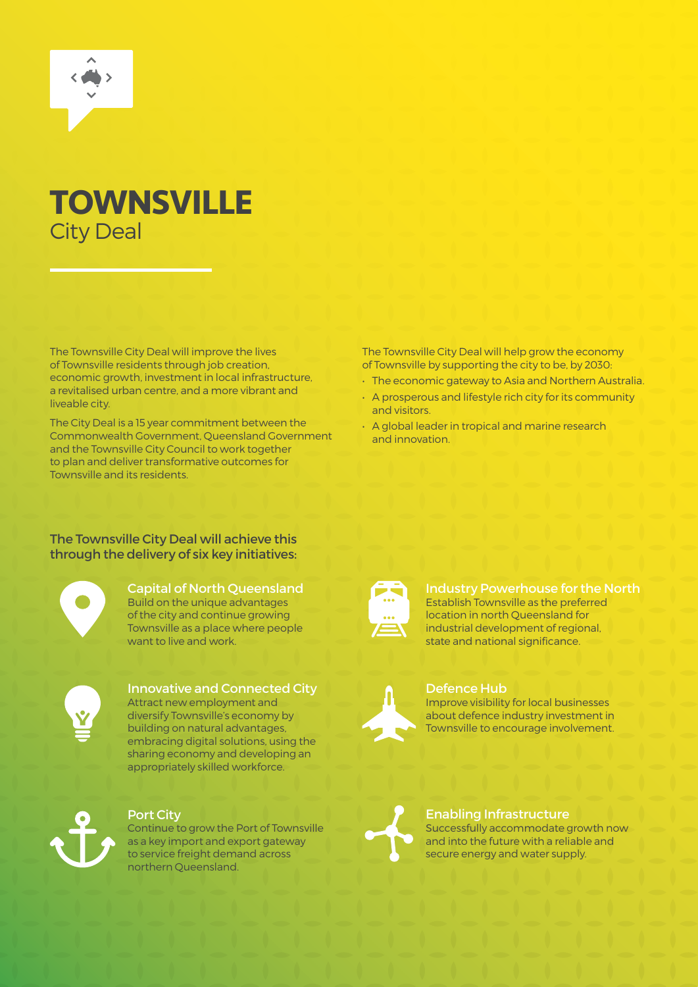

### **TOWNSVILLE** City Deal

The Townsville City Deal will improve the lives of Townsville residents through job creation, economic growth, investment in local infrastructure, a revitalised urban centre, and a more vibrant and liveable city.

The City Deal is a 15 year commitment between the Commonwealth Government, Queensland Government and the Townsville City Council to work together to plan and deliver transformative outcomes for Townsville and its residents.

The Townsville City Deal will help grow the economy of Townsville by supporting the city to be, by 2030:

- The economic gateway to Asia and Northern Australia.
- A prosperous and lifestyle rich city for its community and visitors.
- A global leader in tropical and marine research and innovation.

#### The Townsville City Deal will achieve this through the delivery of six key initiatives:



Capital of North Queensland Build on the unique advantages of the city and continue growing Townsville as a place where people want to live and work.



#### Innovative and Connected City Attract new employment and diversify Townsville's economy by

building on natural advantages, embracing digital solutions, using the sharing economy and developing an appropriately skilled workforce.



#### Port City

Continue to grow the Port of Townsville as a key import and export gateway to service freight demand across northern Queensland.



#### Industry Powerhouse for the North Establish Townsville as the preferred location in north Queensland for industrial development of regional, state and national significance.



### Defence Hub

Improve visibility for local businesses about defence industry investment in Townsville to encourage involvement.



#### Enabling Infrastructure Successfully accommodate growth now and into the future with a reliable and secure energy and water supply.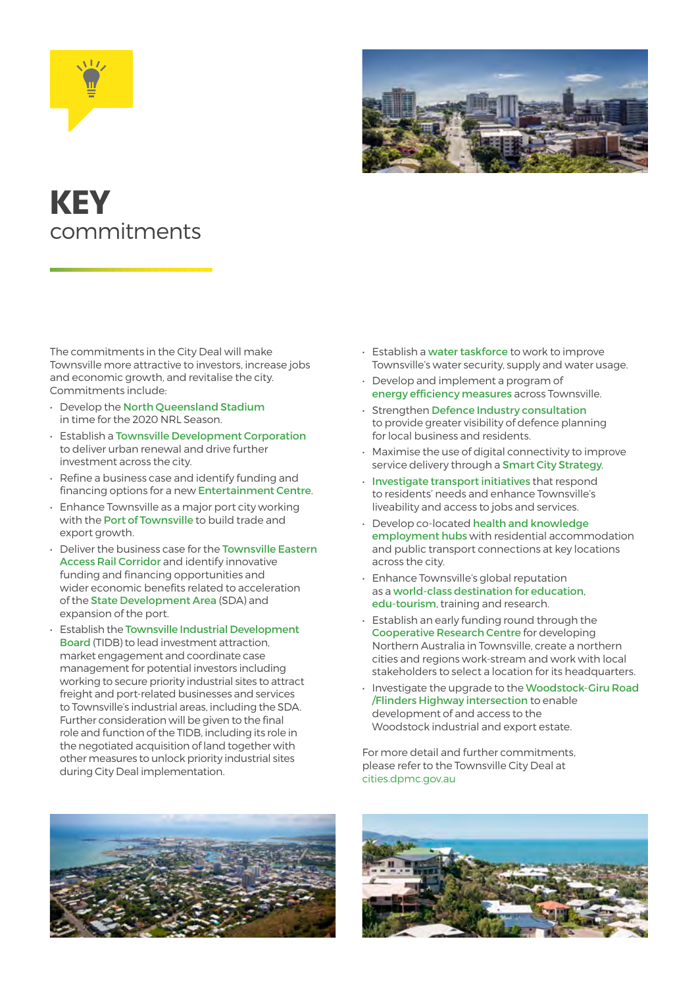



## **KEY** commitments

The commitments in the City Deal will make Townsville more attractive to investors, increase jobs and economic growth, and revitalise the city. Commitments include:

- Develop the North Queensland Stadium in time for the 2020 NRL Season.
- Establish a Townsville Development Corporation to deliver urban renewal and drive further investment across the city.
- Refine a business case and identify funding and financing options for a new Entertainment Centre.
- Enhance Townsville as a major port city working with the Port of Townsville to build trade and export growth.
- Deliver the business case for the Townsville Eastern Access Rail Corridor and identify innovative funding and financing opportunities and wider economic benefits related to acceleration of the State Development Area (SDA) and expansion of the port.
- Establish the Townsville Industrial Development Board (TIDB) to lead investment attraction, market engagement and coordinate case management for potential investors including working to secure priority industrial sites to attract freight and port-related businesses and services to Townsville's industrial areas, including the SDA. Further consideration will be given to the final role and function of the TIDB, including its role in the negotiated acquisition of land together with other measures to unlock priority industrial sites during City Deal implementation.
- Establish a water taskforce to work to improve Townsville's water security, supply and water usage.
- Develop and implement a program of energy efficiency measures across Townsville.
- Strengthen Defence Industry consultation to provide greater visibility of defence planning for local business and residents.
- Maximise the use of digital connectivity to improve service delivery through a Smart City Strategy.
- Investigate transport initiatives that respond to residents' needs and enhance Townsville's liveability and access to jobs and services.
- Develop co-located health and knowledge employment hubs with residential accommodation and public transport connections at key locations across the city.
- Enhance Townsville's global reputation as a world-class destination for education, edu-tourism, training and research.
- Establish an early funding round through the Cooperative Research Centre for developing Northern Australia in Townsville, create a northern cities and regions work-stream and work with local stakeholders to select a location for its headquarters.
- Investigate the upgrade to the Woodstock-Giru Road /Flinders Highway intersection to enable development of and access to the Woodstock industrial and export estate.

For more detail and further commitments, please refer to the Townsville City Deal at cities.dpmc.gov.au